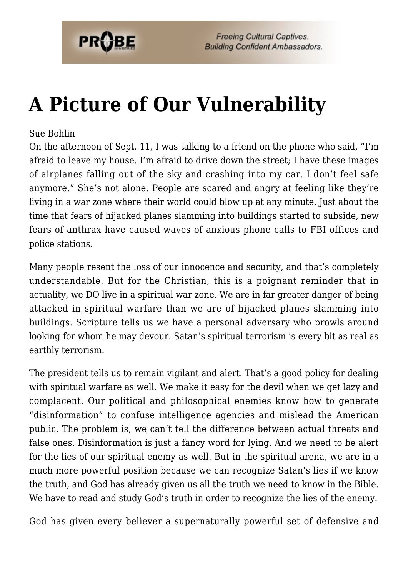

**Freeing Cultural Captives. Building Confident Ambassadors.** 

## **[A Picture of Our Vulnerability](https://probe.org/a-picture-of-our-vulnerability/)**

## Sue Bohlin

On the afternoon of Sept. 11, I was talking to a friend on the phone who said, "I'm afraid to leave my house. I'm afraid to drive down the street; I have these images of airplanes falling out of the sky and crashing into my car. I don't feel safe anymore." She's not alone. People are scared and angry at feeling like they're living in a war zone where their world could blow up at any minute. Just about the time that fears of hijacked planes slamming into buildings started to subside, new fears of anthrax have caused waves of anxious phone calls to FBI offices and police stations.

Many people resent the loss of our innocence and security, and that's completely understandable. But for the Christian, this is a poignant reminder that in actuality, we DO live in a spiritual war zone. We are in far greater danger of being attacked in spiritual warfare than we are of hijacked planes slamming into buildings. Scripture tells us we have a personal adversary who prowls around looking for whom he may devour. Satan's spiritual terrorism is every bit as real as earthly terrorism.

The president tells us to remain vigilant and alert. That's a good policy for dealing with spiritual warfare as well. We make it easy for the devil when we get lazy and complacent. Our political and philosophical enemies know how to generate "disinformation" to confuse intelligence agencies and mislead the American public. The problem is, we can't tell the difference between actual threats and false ones. Disinformation is just a fancy word for lying. And we need to be alert for the lies of our spiritual enemy as well. But in the spiritual arena, we are in a much more powerful position because we can recognize Satan's lies if we know the truth, and God has already given us all the truth we need to know in the Bible. We have to read and study God's truth in order to recognize the lies of the enemy.

God has given every believer a supernaturally powerful set of defensive and